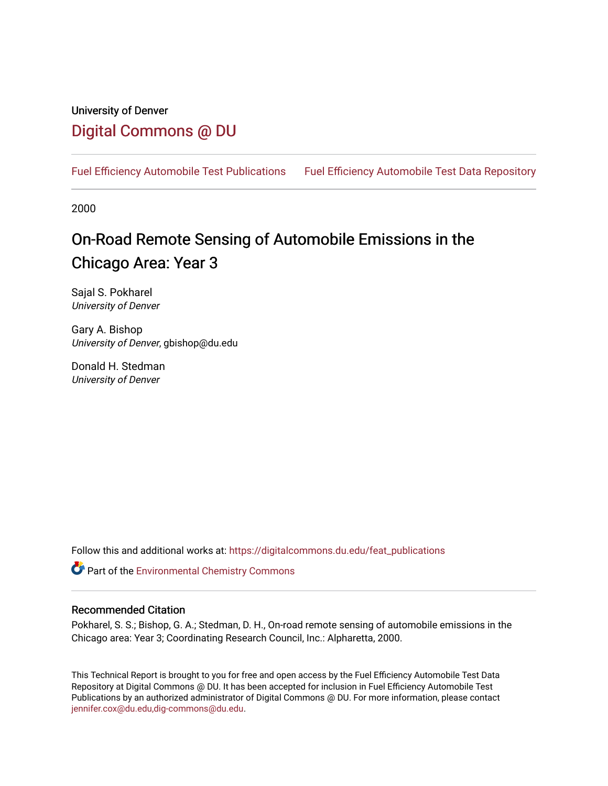## University of Denver [Digital Commons @ DU](https://digitalcommons.du.edu/)

[Fuel Efficiency Automobile Test Publications](https://digitalcommons.du.edu/feat_publications) [Fuel Efficiency Automobile Test Data Repository](https://digitalcommons.du.edu/feat) 

2000

## On-Road Remote Sensing of Automobile Emissions in the Chicago Area: Year 3

Sajal S. Pokharel University of Denver

Gary A. Bishop University of Denver, gbishop@du.edu

Donald H. Stedman University of Denver

Follow this and additional works at: [https://digitalcommons.du.edu/feat\\_publications](https://digitalcommons.du.edu/feat_publications?utm_source=digitalcommons.du.edu%2Ffeat_publications%2F24&utm_medium=PDF&utm_campaign=PDFCoverPages) 

**Part of the [Environmental Chemistry Commons](http://network.bepress.com/hgg/discipline/134?utm_source=digitalcommons.du.edu%2Ffeat_publications%2F24&utm_medium=PDF&utm_campaign=PDFCoverPages)** 

#### Recommended Citation

Pokharel, S. S.; Bishop, G. A.; Stedman, D. H., On-road remote sensing of automobile emissions in the Chicago area: Year 3; Coordinating Research Council, Inc.: Alpharetta, 2000.

This Technical Report is brought to you for free and open access by the Fuel Efficiency Automobile Test Data Repository at Digital Commons @ DU. It has been accepted for inclusion in Fuel Efficiency Automobile Test Publications by an authorized administrator of Digital Commons @ DU. For more information, please contact [jennifer.cox@du.edu,dig-commons@du.edu](mailto:jennifer.cox@du.edu,dig-commons@du.edu).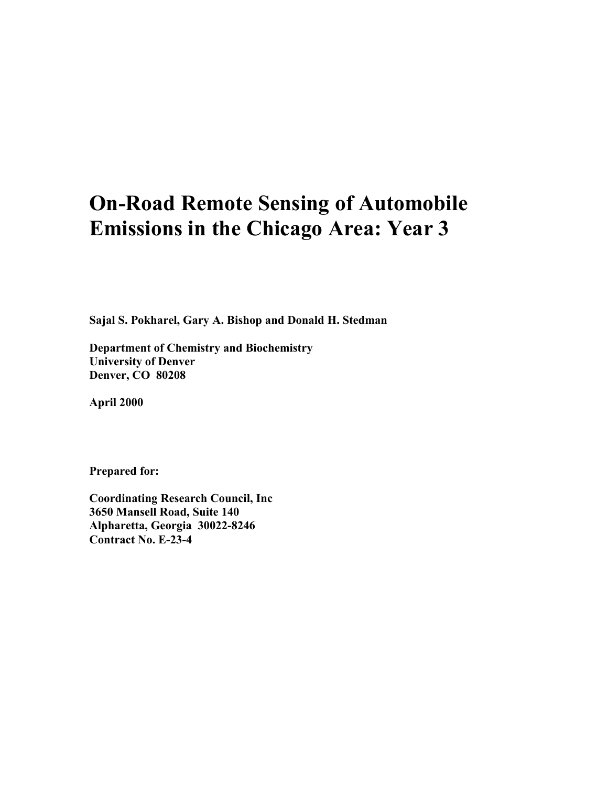# **On-Road Remote Sensing of Automobile Emissions in the Chicago Area: Year 3**

**Sajal S. Pokharel, Gary A. Bishop and Donald H. Stedman**

**Department of Chemistry and Biochemistry University of Denver Denver, CO 80208**

**April 2000**

**Prepared for:**

**Coordinating Research Council, Inc 3650 Mansell Road, Suite 140 Alpharetta, Georgia 30022-8246 Contract No. E-23-4**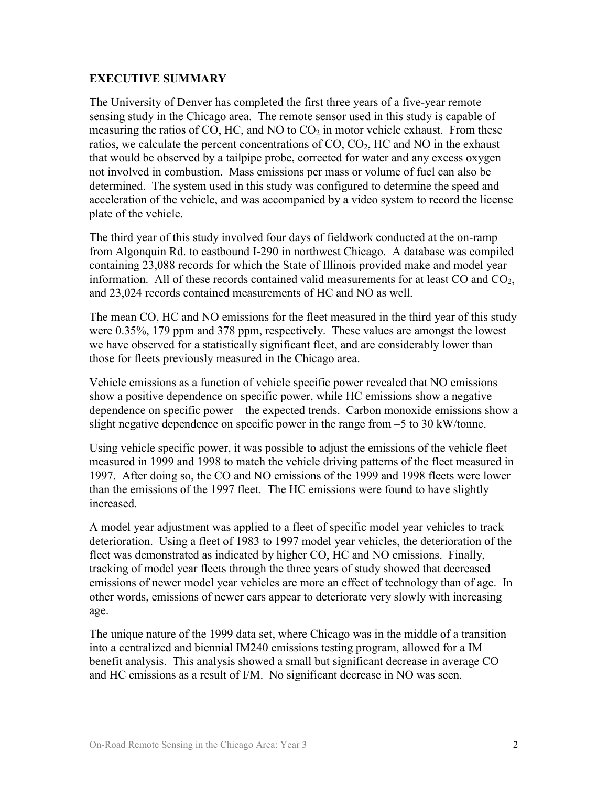#### **EXECUTIVE SUMMARY**

The University of Denver has completed the first three years of a five-year remote sensing study in the Chicago area. The remote sensor used in this study is capable of measuring the ratios of CO, HC, and NO to  $CO<sub>2</sub>$  in motor vehicle exhaust. From these ratios, we calculate the percent concentrations of  $CO$ ,  $CO<sub>2</sub>$ ,  $HC$  and NO in the exhaust that would be observed by a tailpipe probe, corrected for water and any excess oxygen not involved in combustion. Mass emissions per mass or volume of fuel can also be determined. The system used in this study was configured to determine the speed and acceleration of the vehicle, and was accompanied by a video system to record the license plate of the vehicle.

The third year of this study involved four days of fieldwork conducted at the on-ramp from Algonquin Rd. to eastbound I-290 in northwest Chicago. A database was compiled containing 23,088 records for which the State of Illinois provided make and model year information. All of these records contained valid measurements for at least  $CO$  and  $CO<sub>2</sub>$ , and 23,024 records contained measurements of HC and NO as well.

The mean CO, HC and NO emissions for the fleet measured in the third year of this study were 0.35%, 179 ppm and 378 ppm, respectively. These values are amongst the lowest we have observed for a statistically significant fleet, and are considerably lower than those for fleets previously measured in the Chicago area.

Vehicle emissions as a function of vehicle specific power revealed that NO emissions show a positive dependence on specific power, while HC emissions show a negative dependence on specific power – the expected trends. Carbon monoxide emissions show a slight negative dependence on specific power in the range from –5 to 30 kW/tonne.

Using vehicle specific power, it was possible to adjust the emissions of the vehicle fleet measured in 1999 and 1998 to match the vehicle driving patterns of the fleet measured in 1997. After doing so, the CO and NO emissions of the 1999 and 1998 fleets were lower than the emissions of the 1997 fleet. The HC emissions were found to have slightly increased.

A model year adjustment was applied to a fleet of specific model year vehicles to track deterioration. Using a fleet of 1983 to 1997 model year vehicles, the deterioration of the fleet was demonstrated as indicated by higher CO, HC and NO emissions. Finally, tracking of model year fleets through the three years of study showed that decreased emissions of newer model year vehicles are more an effect of technology than of age. In other words, emissions of newer cars appear to deteriorate very slowly with increasing age.

The unique nature of the 1999 data set, where Chicago was in the middle of a transition into a centralized and biennial IM240 emissions testing program, allowed for a IM benefit analysis. This analysis showed a small but significant decrease in average CO and HC emissions as a result of I/M. No significant decrease in NO was seen.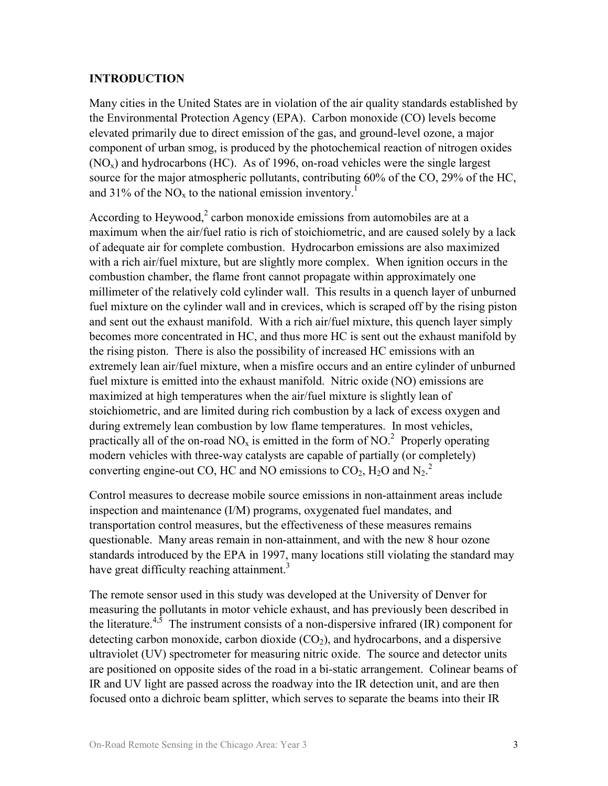#### **INTRODUCTION**

Many cities in the United States are in violation of the air quality standards established by the Environmental Protection Agency (EPA). Carbon monoxide (CO) levels become elevated primarily due to direct emission of the gas, and ground-level ozone, a major component of urban smog, is produced by the photochemical reaction of nitrogen oxides  $(NO<sub>x</sub>)$  and hydrocarbons (HC). As of 1996, on-road vehicles were the single largest source for the major atmospheric pollutants, contributing 60% of the CO, 29% of the HC, and 31% of the  $NO<sub>x</sub>$  to the national emission inventory.<sup>1</sup>

According to Heywood,<sup>2</sup> carbon monoxide emissions from automobiles are at a maximum when the air/fuel ratio is rich of stoichiometric, and are caused solely by a lack of adequate air for complete combustion. Hydrocarbon emissions are also maximized with a rich air/fuel mixture, but are slightly more complex. When ignition occurs in the combustion chamber, the flame front cannot propagate within approximately one millimeter of the relatively cold cylinder wall. This results in a quench layer of unburned fuel mixture on the cylinder wall and in crevices, which is scraped off by the rising piston and sent out the exhaust manifold. With a rich air/fuel mixture, this quench layer simply becomes more concentrated in HC, and thus more HC is sent out the exhaust manifold by the rising piston. There is also the possibility of increased HC emissions with an extremely lean air/fuel mixture, when a misfire occurs and an entire cylinder of unburned fuel mixture is emitted into the exhaust manifold. Nitric oxide (NO) emissions are maximized at high temperatures when the air/fuel mixture is slightly lean of stoichiometric, and are limited during rich combustion by a lack of excess oxygen and during extremely lean combustion by low flame temperatures. In most vehicles, practically all of the on-road NO<sub>x</sub> is emitted in the form of NO.<sup>2</sup> Properly operating modern vehicles with three-way catalysts are capable of partially (or completely) converting engine-out CO, HC and NO emissions to  $CO_2$ , H<sub>2</sub>O and N<sub>2</sub>.<sup>2</sup>

Control measures to decrease mobile source emissions in non-attainment areas include inspection and maintenance (I/M) programs, oxygenated fuel mandates, and transportation control measures, but the effectiveness of these measures remains questionable. Many areas remain in non-attainment, and with the new 8 hour ozone standards introduced by the EPA in 1997, many locations still violating the standard may have great difficulty reaching attainment.<sup>3</sup>

The remote sensor used in this study was developed at the University of Denver for measuring the pollutants in motor vehicle exhaust, and has previously been described in the literature.<sup>4,5</sup> The instrument consists of a non-dispersive infrared (IR) component for detecting carbon monoxide, carbon dioxide  $(CO<sub>2</sub>)$ , and hydrocarbons, and a dispersive ultraviolet (UV) spectrometer for measuring nitric oxide. The source and detector units are positioned on opposite sides of the road in a bi-static arrangement. Colinear beams of IR and UV light are passed across the roadway into the IR detection unit, and are then focused onto a dichroic beam splitter, which serves to separate the beams into their IR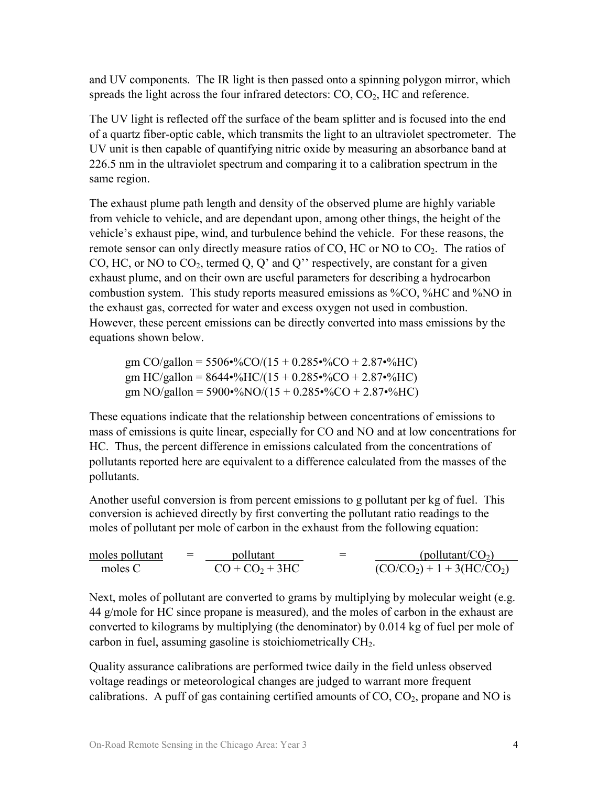and UV components. The IR light is then passed onto a spinning polygon mirror, which spreads the light across the four infrared detectors:  $CO$ ,  $CO<sub>2</sub>$ ,  $HC$  and reference.

The UV light is reflected off the surface of the beam splitter and is focused into the end of a quartz fiber-optic cable, which transmits the light to an ultraviolet spectrometer. The UV unit is then capable of quantifying nitric oxide by measuring an absorbance band at 226.5 nm in the ultraviolet spectrum and comparing it to a calibration spectrum in the same region.

The exhaust plume path length and density of the observed plume are highly variable from vehicle to vehicle, and are dependant upon, among other things, the height of the vehicle's exhaust pipe, wind, and turbulence behind the vehicle. For these reasons, the remote sensor can only directly measure ratios of CO, HC or NO to  $CO<sub>2</sub>$ . The ratios of CO, HC, or NO to  $CO_2$ , termed Q, Q' and Q'' respectively, are constant for a given exhaust plume, and on their own are useful parameters for describing a hydrocarbon combustion system. This study reports measured emissions as %CO, %HC and %NO in the exhaust gas, corrected for water and excess oxygen not used in combustion. However, these percent emissions can be directly converted into mass emissions by the equations shown below.

gm CO/gallon =  $5506\cdot\%$ CO/(15 + 0.285 $\cdot\%$ CO + 2.87 $\cdot\%$ HC) gm HC/gallon =  $8644\cdot\%$ HC/(15 + 0.285 $\cdot\%$ CO + 2.87 $\cdot\%$ HC) gm NO/gallon =  $5900\cdot\%$ NO/(15 + 0.285 $\cdot\%$ CO + 2.87 $\cdot\%$ HC)

These equations indicate that the relationship between concentrations of emissions to mass of emissions is quite linear, especially for CO and NO and at low concentrations for HC. Thus, the percent difference in emissions calculated from the concentrations of pollutants reported here are equivalent to a difference calculated from the masses of the pollutants.

Another useful conversion is from percent emissions to g pollutant per kg of fuel. This conversion is achieved directly by first converting the pollutant ratio readings to the moles of pollutant per mole of carbon in the exhaust from the following equation:

moles pollutant  $=$  pollutant  $=$  (pollutant/CO<sub>2</sub>) moles C  $CO + CO_2 + 3HC$   $(CO/CO_2) + 1 + 3(HC/CO_2)$ 

Next, moles of pollutant are converted to grams by multiplying by molecular weight (e.g. 44 g/mole for HC since propane is measured), and the moles of carbon in the exhaust are converted to kilograms by multiplying (the denominator) by 0.014 kg of fuel per mole of carbon in fuel, assuming gasoline is stoichiometrically CH2.

Quality assurance calibrations are performed twice daily in the field unless observed voltage readings or meteorological changes are judged to warrant more frequent calibrations. A puff of gas containing certified amounts of  $CO$ ,  $CO<sub>2</sub>$ , propane and NO is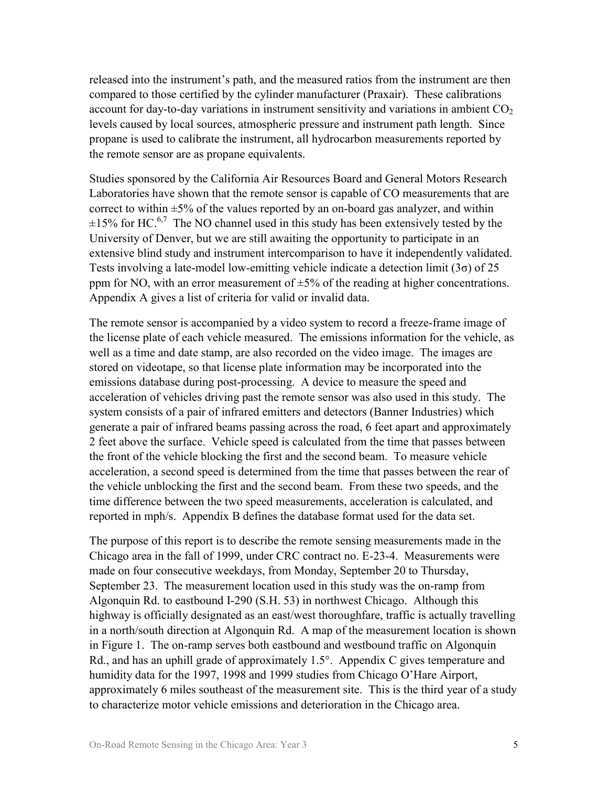released into the instrument's path, and the measured ratios from the instrument are then compared to those certified by the cylinder manufacturer (Praxair). These calibrations account for day-to-day variations in instrument sensitivity and variations in ambient  $CO<sub>2</sub>$ levels caused by local sources, atmospheric pressure and instrument path length. Since propane is used to calibrate the instrument, all hydrocarbon measurements reported by the remote sensor are as propane equivalents.

Studies sponsored by the California Air Resources Board and General Motors Research Laboratories have shown that the remote sensor is capable of CO measurements that are correct to within  $\pm$ 5% of the values reported by an on-board gas analyzer, and within  $\pm 15\%$  for HC.<sup>6,7</sup> The NO channel used in this study has been extensively tested by the University of Denver, but we are still awaiting the opportunity to participate in an extensive blind study and instrument intercomparison to have it independently validated. Tests involving a late-model low-emitting vehicle indicate a detection limit (3σ) of 25 ppm for NO, with an error measurement of  $\pm 5\%$  of the reading at higher concentrations. Appendix A gives a list of criteria for valid or invalid data.

The remote sensor is accompanied by a video system to record a freeze-frame image of the license plate of each vehicle measured. The emissions information for the vehicle, as well as a time and date stamp, are also recorded on the video image. The images are stored on videotape, so that license plate information may be incorporated into the emissions database during post-processing. A device to measure the speed and acceleration of vehicles driving past the remote sensor was also used in this study. The system consists of a pair of infrared emitters and detectors (Banner Industries) which generate a pair of infrared beams passing across the road, 6 feet apart and approximately 2 feet above the surface. Vehicle speed is calculated from the time that passes between the front of the vehicle blocking the first and the second beam. To measure vehicle acceleration, a second speed is determined from the time that passes between the rear of the vehicle unblocking the first and the second beam. From these two speeds, and the time difference between the two speed measurements, acceleration is calculated, and reported in mph/s. Appendix B defines the database format used for the data set.

The purpose of this report is to describe the remote sensing measurements made in the Chicago area in the fall of 1999, under CRC contract no. E-23-4. Measurements were made on four consecutive weekdays, from Monday, September 20 to Thursday, September 23. The measurement location used in this study was the on-ramp from Algonquin Rd. to eastbound I-290 (S.H. 53) in northwest Chicago. Although this highway is officially designated as an east/west thoroughfare, traffic is actually travelling in a north/south direction at Algonquin Rd. A map of the measurement location is shown in Figure 1. The on-ramp serves both eastbound and westbound traffic on Algonquin Rd., and has an uphill grade of approximately 1.5°. Appendix C gives temperature and humidity data for the 1997, 1998 and 1999 studies from Chicago O'Hare Airport, approximately 6 miles southeast of the measurement site. This is the third year of a study to characterize motor vehicle emissions and deterioration in the Chicago area.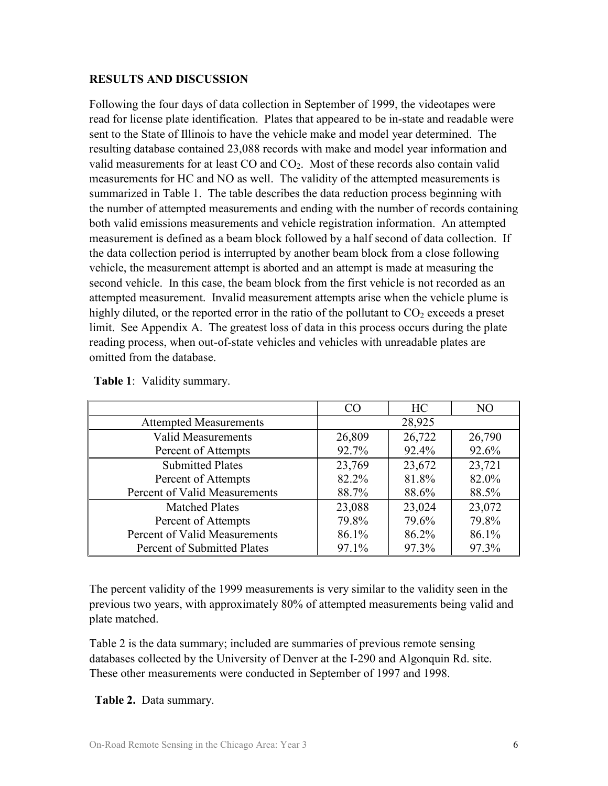#### **RESULTS AND DISCUSSION**

Following the four days of data collection in September of 1999, the videotapes were read for license plate identification. Plates that appeared to be in-state and readable were sent to the State of Illinois to have the vehicle make and model year determined. The resulting database contained 23,088 records with make and model year information and valid measurements for at least  $CO$  and  $CO<sub>2</sub>$ . Most of these records also contain valid measurements for HC and NO as well. The validity of the attempted measurements is summarized in Table 1. The table describes the data reduction process beginning with the number of attempted measurements and ending with the number of records containing both valid emissions measurements and vehicle registration information. An attempted measurement is defined as a beam block followed by a half second of data collection. If the data collection period is interrupted by another beam block from a close following vehicle, the measurement attempt is aborted and an attempt is made at measuring the second vehicle. In this case, the beam block from the first vehicle is not recorded as an attempted measurement. Invalid measurement attempts arise when the vehicle plume is highly diluted, or the reported error in the ratio of the pollutant to  $CO<sub>2</sub>$  exceeds a preset limit. See Appendix A. The greatest loss of data in this process occurs during the plate reading process, when out-of-state vehicles and vehicles with unreadable plates are omitted from the database.

|                               | CO     | HC     | NO     |
|-------------------------------|--------|--------|--------|
| <b>Attempted Measurements</b> |        | 28,925 |        |
| <b>Valid Measurements</b>     | 26,809 | 26,722 | 26,790 |
| Percent of Attempts           | 92.7%  | 92.4%  | 92.6%  |
| <b>Submitted Plates</b>       | 23,769 | 23,672 | 23,721 |
| Percent of Attempts           | 82.2%  | 81.8%  | 82.0%  |
| Percent of Valid Measurements | 88.7%  | 88.6%  | 88.5%  |
| <b>Matched Plates</b>         | 23,088 | 23,024 | 23,072 |
| Percent of Attempts           | 79.8%  | 79.6%  | 79.8%  |
| Percent of Valid Measurements | 86.1%  | 86.2%  | 86.1%  |
| Percent of Submitted Plates   | 97.1%  | 97.3%  | 97.3%  |

**Table 1**: Validity summary.

The percent validity of the 1999 measurements is very similar to the validity seen in the previous two years, with approximately 80% of attempted measurements being valid and plate matched.

Table 2 is the data summary; included are summaries of previous remote sensing databases collected by the University of Denver at the I-290 and Algonquin Rd. site. These other measurements were conducted in September of 1997 and 1998.

**Table 2.** Data summary.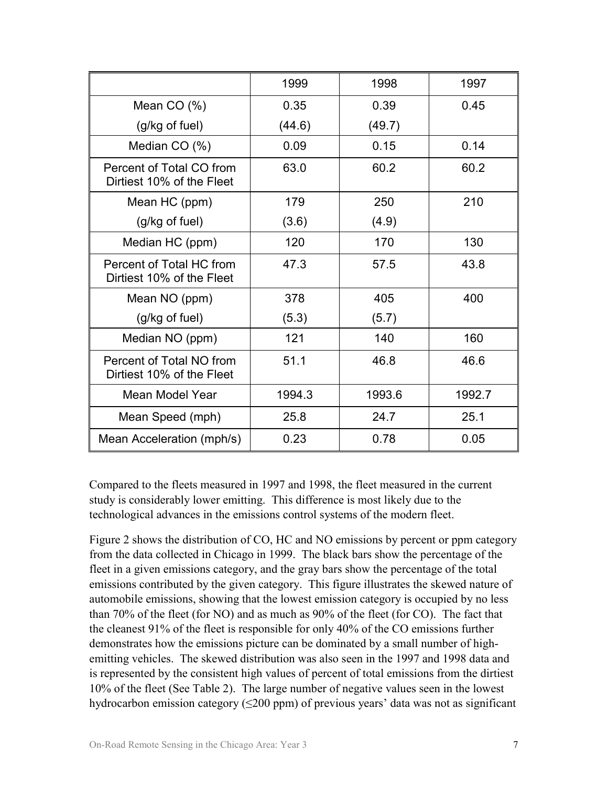|                                                       | 1999   | 1998   | 1997   |
|-------------------------------------------------------|--------|--------|--------|
| Mean $CO(%)$                                          | 0.35   | 0.39   | 0.45   |
| (g/kg of fuel)                                        | (44.6) | (49.7) |        |
| Median CO (%)                                         | 0.09   | 0.15   | 0.14   |
| Percent of Total CO from<br>Dirtiest 10% of the Fleet | 63.0   | 60.2   | 60.2   |
| Mean HC (ppm)                                         | 179    | 250    | 210    |
| (g/kg of fuel)                                        | (3.6)  | (4.9)  |        |
| Median HC (ppm)                                       | 120    | 170    | 130    |
| Percent of Total HC from<br>Dirtiest 10% of the Fleet | 47.3   | 57.5   | 43.8   |
| Mean NO (ppm)                                         | 378    | 405    | 400    |
| (g/kg of fuel)                                        | (5.3)  | (5.7)  |        |
| Median NO (ppm)                                       | 121    | 140    | 160    |
| Percent of Total NO from<br>Dirtiest 10% of the Fleet | 51.1   | 46.8   | 46.6   |
| Mean Model Year                                       | 1994.3 | 1993.6 | 1992.7 |
| Mean Speed (mph)                                      | 25.8   | 24.7   | 25.1   |
| Mean Acceleration (mph/s)                             | 0.23   | 0.78   | 0.05   |

Compared to the fleets measured in 1997 and 1998, the fleet measured in the current study is considerably lower emitting. This difference is most likely due to the technological advances in the emissions control systems of the modern fleet.

Figure 2 shows the distribution of CO, HC and NO emissions by percent or ppm category from the data collected in Chicago in 1999. The black bars show the percentage of the fleet in a given emissions category, and the gray bars show the percentage of the total emissions contributed by the given category. This figure illustrates the skewed nature of automobile emissions, showing that the lowest emission category is occupied by no less than 70% of the fleet (for NO) and as much as 90% of the fleet (for CO). The fact that the cleanest 91% of the fleet is responsible for only 40% of the CO emissions further demonstrates how the emissions picture can be dominated by a small number of highemitting vehicles. The skewed distribution was also seen in the 1997 and 1998 data and is represented by the consistent high values of percent of total emissions from the dirtiest 10% of the fleet (See Table 2). The large number of negative values seen in the lowest hydrocarbon emission category  $(\leq 200 \text{ ppm})$  of previous years' data was not as significant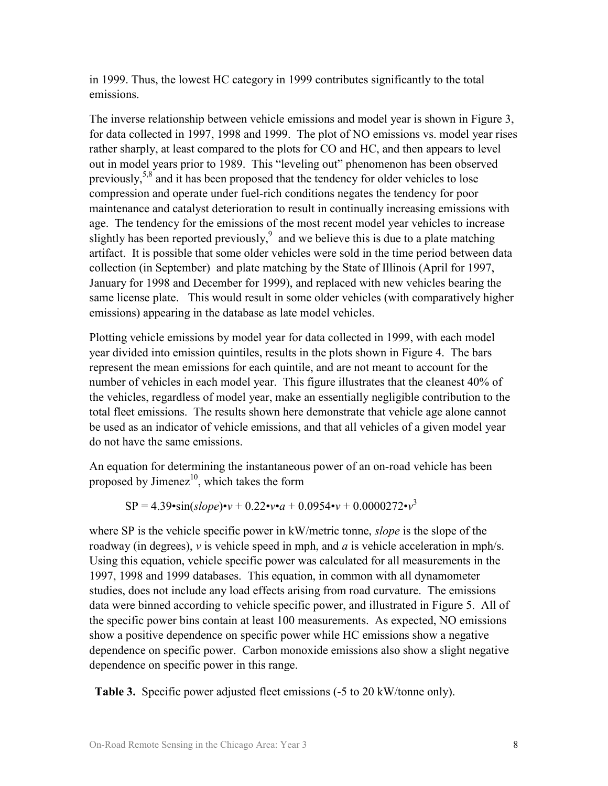in 1999. Thus, the lowest HC category in 1999 contributes significantly to the total emissions.

The inverse relationship between vehicle emissions and model year is shown in Figure 3, for data collected in 1997, 1998 and 1999. The plot of NO emissions vs. model year rises rather sharply, at least compared to the plots for CO and HC, and then appears to level out in model years prior to 1989. This "leveling out" phenomenon has been observed previously,5,8 and it has been proposed that the tendency for older vehicles to lose compression and operate under fuel-rich conditions negates the tendency for poor maintenance and catalyst deterioration to result in continually increasing emissions with age. The tendency for the emissions of the most recent model year vehicles to increase slightly has been reported previously,  $\delta$  and we believe this is due to a plate matching artifact. It is possible that some older vehicles were sold in the time period between data collection (in September) and plate matching by the State of Illinois (April for 1997, January for 1998 and December for 1999), and replaced with new vehicles bearing the same license plate. This would result in some older vehicles (with comparatively higher emissions) appearing in the database as late model vehicles.

Plotting vehicle emissions by model year for data collected in 1999, with each model year divided into emission quintiles, results in the plots shown in Figure 4. The bars represent the mean emissions for each quintile, and are not meant to account for the number of vehicles in each model year. This figure illustrates that the cleanest 40% of the vehicles, regardless of model year, make an essentially negligible contribution to the total fleet emissions. The results shown here demonstrate that vehicle age alone cannot be used as an indicator of vehicle emissions, and that all vehicles of a given model year do not have the same emissions.

An equation for determining the instantaneous power of an on-road vehicle has been proposed by Jimenez $10$ , which takes the form

$$
SP = 4.39 \cdot \sin(slope) \cdot v + 0.22 \cdot v \cdot a + 0.0954 \cdot v + 0.0000272 \cdot v^3
$$

where SP is the vehicle specific power in kW/metric tonne, *slope* is the slope of the roadway (in degrees), *v* is vehicle speed in mph, and *a* is vehicle acceleration in mph/s. Using this equation, vehicle specific power was calculated for all measurements in the 1997, 1998 and 1999 databases. This equation, in common with all dynamometer studies, does not include any load effects arising from road curvature. The emissions data were binned according to vehicle specific power, and illustrated in Figure 5. All of the specific power bins contain at least 100 measurements. As expected, NO emissions show a positive dependence on specific power while HC emissions show a negative dependence on specific power. Carbon monoxide emissions also show a slight negative dependence on specific power in this range.

**Table 3.** Specific power adjusted fleet emissions (-5 to 20 kW/tonne only).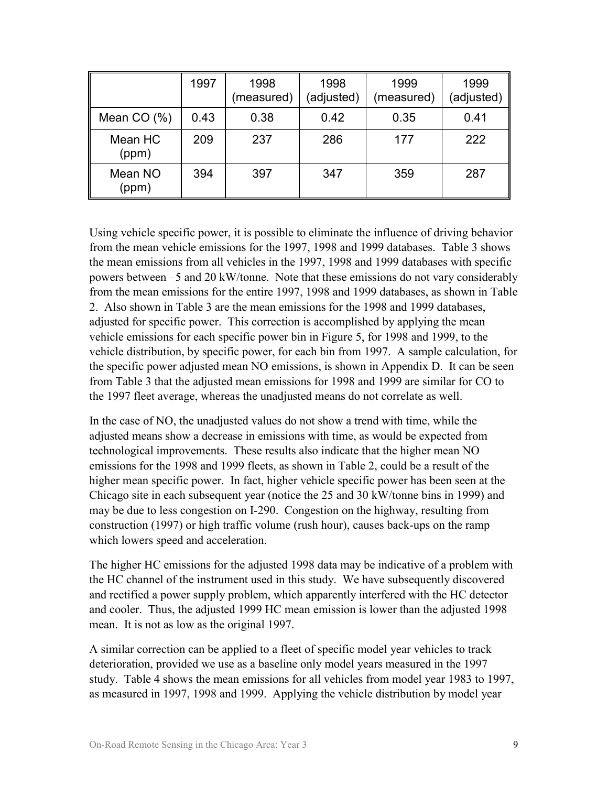|                  | 1997 | 1998<br>(measured) | 1998<br>(adjusted) | 1999<br>(measured) | 1999<br>(adjusted) |
|------------------|------|--------------------|--------------------|--------------------|--------------------|
| Mean $CO(%)$     | 0.43 | 0.38               | 0.42               | 0.35               | 0.41               |
| Mean HC<br>(ppm) | 209  | 237                | 286                | 177                | 222                |
| Mean NO<br>(ppm) | 394  | 397                | 347                | 359                | 287                |

Using vehicle specific power, it is possible to eliminate the influence of driving behavior from the mean vehicle emissions for the 1997, 1998 and 1999 databases. Table 3 shows the mean emissions from all vehicles in the 1997, 1998 and 1999 databases with specific powers between –5 and 20 kW/tonne. Note that these emissions do not vary considerably from the mean emissions for the entire 1997, 1998 and 1999 databases, as shown in Table 2. Also shown in Table 3 are the mean emissions for the 1998 and 1999 databases, adjusted for specific power. This correction is accomplished by applying the mean vehicle emissions for each specific power bin in Figure 5, for 1998 and 1999, to the vehicle distribution, by specific power, for each bin from 1997. A sample calculation, for the specific power adjusted mean NO emissions, is shown in Appendix D. It can be seen from Table 3 that the adjusted mean emissions for 1998 and 1999 are similar for CO to the 1997 fleet average, whereas the unadjusted means do not correlate as well.

In the case of NO, the unadjusted values do not show a trend with time, while the adjusted means show a decrease in emissions with time, as would be expected from technological improvements. These results also indicate that the higher mean NO emissions for the 1998 and 1999 fleets, as shown in Table 2, could be a result of the higher mean specific power. In fact, higher vehicle specific power has been seen at the Chicago site in each subsequent year (notice the 25 and 30 kW/tonne bins in 1999) and may be due to less congestion on I-290. Congestion on the highway, resulting from construction (1997) or high traffic volume (rush hour), causes back-ups on the ramp which lowers speed and acceleration.

The higher HC emissions for the adjusted 1998 data may be indicative of a problem with the HC channel of the instrument used in this study. We have subsequently discovered and rectified a power supply problem, which apparently interfered with the HC detector and cooler. Thus, the adjusted 1999 HC mean emission is lower than the adjusted 1998 mean. It is not as low as the original 1997.

A similar correction can be applied to a fleet of specific model year vehicles to track deterioration, provided we use as a baseline only model years measured in the 1997 study. Table 4 shows the mean emissions for all vehicles from model year 1983 to 1997, as measured in 1997, 1998 and 1999. Applying the vehicle distribution by model year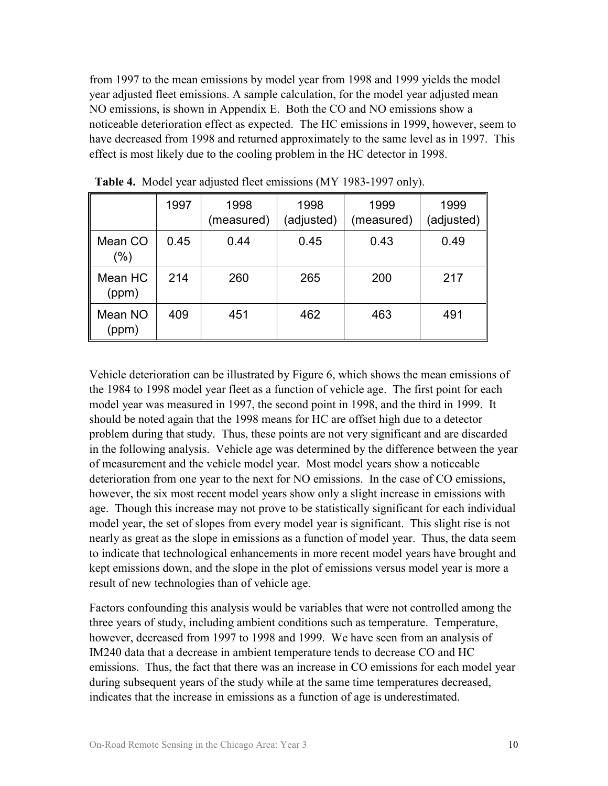from 1997 to the mean emissions by model year from 1998 and 1999 yields the model year adjusted fleet emissions. A sample calculation, for the model year adjusted mean NO emissions, is shown in Appendix E. Both the CO and NO emissions show a noticeable deterioration effect as expected. The HC emissions in 1999, however, seem to have decreased from 1998 and returned approximately to the same level as in 1997. This effect is most likely due to the cooling problem in the HC detector in 1998.

|                    | 1997 | 1998<br>(measured) | 1998<br>(adjusted) | 1999<br>(measured) | 1999<br>(adjusted) |
|--------------------|------|--------------------|--------------------|--------------------|--------------------|
| Mean CO<br>$(\% )$ | 0.45 | 0.44               | 0.45               | 0.43               | 0.49               |
| Mean HC<br>(ppm)   | 214  | 260                | 265                | 200                | 217                |
| Mean NO<br>(ppm)   | 409  | 451                | 462                | 463                | 491                |

**Table 4.** Model year adjusted fleet emissions (MY 1983-1997 only).

Vehicle deterioration can be illustrated by Figure 6, which shows the mean emissions of the 1984 to 1998 model year fleet as a function of vehicle age. The first point for each model year was measured in 1997, the second point in 1998, and the third in 1999. It should be noted again that the 1998 means for HC are offset high due to a detector problem during that study. Thus, these points are not very significant and are discarded in the following analysis. Vehicle age was determined by the difference between the year of measurement and the vehicle model year. Most model years show a noticeable deterioration from one year to the next for NO emissions. In the case of CO emissions, however, the six most recent model years show only a slight increase in emissions with age. Though this increase may not prove to be statistically significant for each individual model year, the set of slopes from every model year is significant. This slight rise is not nearly as great as the slope in emissions as a function of model year. Thus, the data seem to indicate that technological enhancements in more recent model years have brought and kept emissions down, and the slope in the plot of emissions versus model year is more a result of new technologies than of vehicle age.

Factors confounding this analysis would be variables that were not controlled among the three years of study, including ambient conditions such as temperature. Temperature, however, decreased from 1997 to 1998 and 1999. We have seen from an analysis of IM240 data that a decrease in ambient temperature tends to decrease CO and HC emissions. Thus, the fact that there was an increase in CO emissions for each model year during subsequent years of the study while at the same time temperatures decreased, indicates that the increase in emissions as a function of age is underestimated.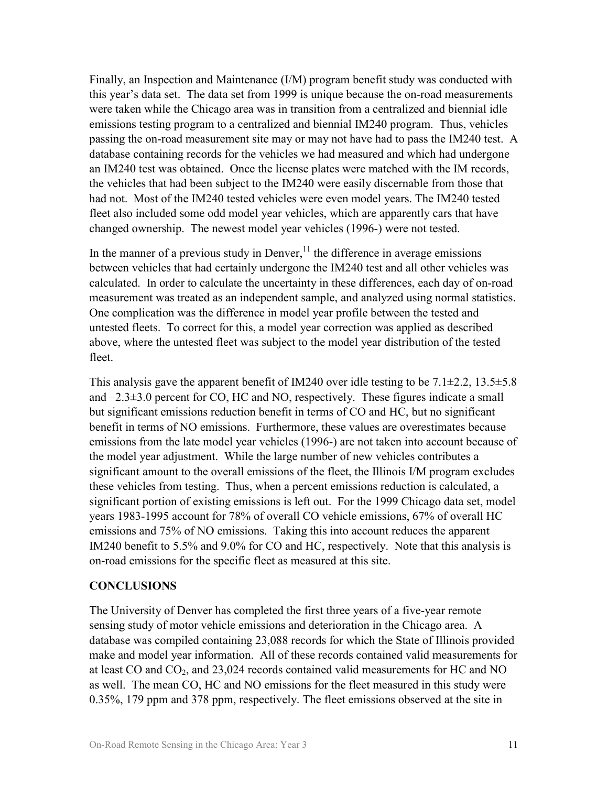Finally, an Inspection and Maintenance (I/M) program benefit study was conducted with this year's data set. The data set from 1999 is unique because the on-road measurements were taken while the Chicago area was in transition from a centralized and biennial idle emissions testing program to a centralized and biennial IM240 program. Thus, vehicles passing the on-road measurement site may or may not have had to pass the IM240 test. A database containing records for the vehicles we had measured and which had undergone an IM240 test was obtained. Once the license plates were matched with the IM records, the vehicles that had been subject to the IM240 were easily discernable from those that had not. Most of the IM240 tested vehicles were even model years. The IM240 tested fleet also included some odd model year vehicles, which are apparently cars that have changed ownership. The newest model year vehicles (1996-) were not tested.

In the manner of a previous study in Denver, $^{11}$  the difference in average emissions between vehicles that had certainly undergone the IM240 test and all other vehicles was calculated. In order to calculate the uncertainty in these differences, each day of on-road measurement was treated as an independent sample, and analyzed using normal statistics. One complication was the difference in model year profile between the tested and untested fleets. To correct for this, a model year correction was applied as described above, where the untested fleet was subject to the model year distribution of the tested fleet

This analysis gave the apparent benefit of IM240 over idle testing to be  $7.1\pm2.2$ ,  $13.5\pm5.8$ and –2.3±3.0 percent for CO, HC and NO, respectively. These figures indicate a small but significant emissions reduction benefit in terms of CO and HC, but no significant benefit in terms of NO emissions. Furthermore, these values are overestimates because emissions from the late model year vehicles (1996-) are not taken into account because of the model year adjustment. While the large number of new vehicles contributes a significant amount to the overall emissions of the fleet, the Illinois I/M program excludes these vehicles from testing. Thus, when a percent emissions reduction is calculated, a significant portion of existing emissions is left out. For the 1999 Chicago data set, model years 1983-1995 account for 78% of overall CO vehicle emissions, 67% of overall HC emissions and 75% of NO emissions. Taking this into account reduces the apparent IM240 benefit to 5.5% and 9.0% for CO and HC, respectively. Note that this analysis is on-road emissions for the specific fleet as measured at this site.

#### **CONCLUSIONS**

The University of Denver has completed the first three years of a five-year remote sensing study of motor vehicle emissions and deterioration in the Chicago area. A database was compiled containing 23,088 records for which the State of Illinois provided make and model year information. All of these records contained valid measurements for at least CO and  $CO<sub>2</sub>$ , and 23,024 records contained valid measurements for HC and NO as well. The mean CO, HC and NO emissions for the fleet measured in this study were 0.35%, 179 ppm and 378 ppm, respectively. The fleet emissions observed at the site in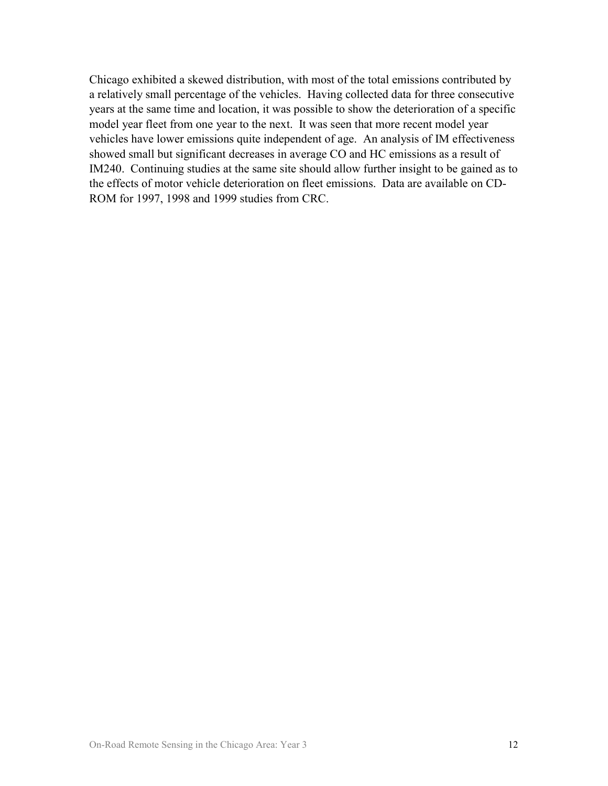Chicago exhibited a skewed distribution, with most of the total emissions contributed by a relatively small percentage of the vehicles. Having collected data for three consecutive years at the same time and location, it was possible to show the deterioration of a specific model year fleet from one year to the next. It was seen that more recent model year vehicles have lower emissions quite independent of age. An analysis of IM effectiveness showed small but significant decreases in average CO and HC emissions as a result of IM240. Continuing studies at the same site should allow further insight to be gained as to the effects of motor vehicle deterioration on fleet emissions. Data are available on CD-ROM for 1997, 1998 and 1999 studies from CRC.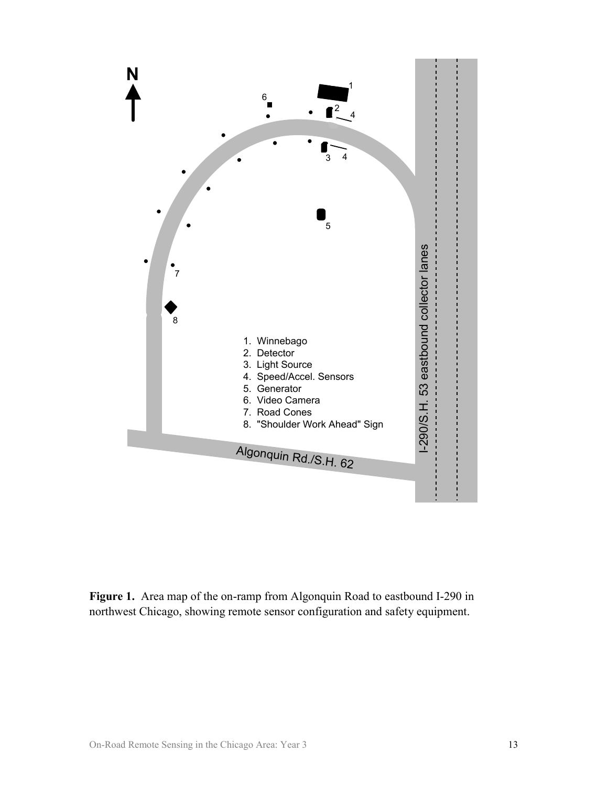

**Figure 1.** Area map of the on-ramp from Algonquin Road to eastbound I-290 in northwest Chicago, showing remote sensor configuration and safety equipment.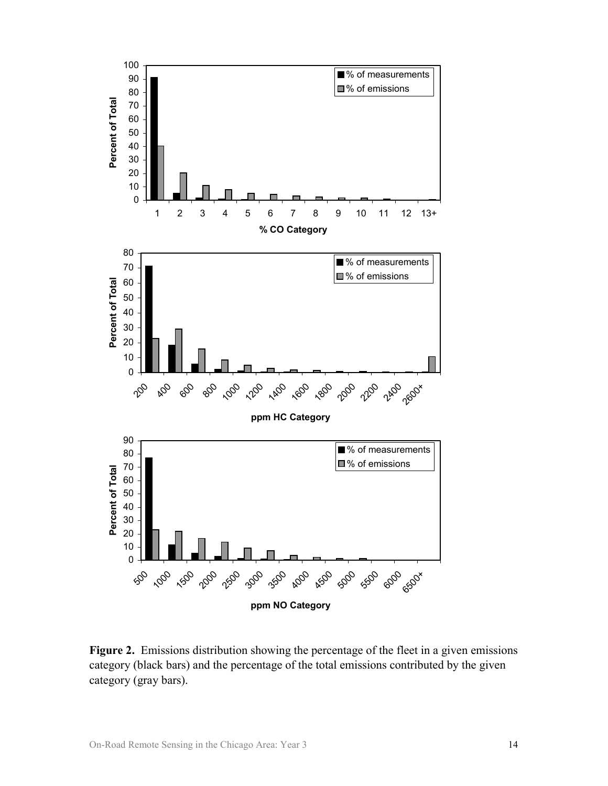

**Figure 2.** Emissions distribution showing the percentage of the fleet in a given emissions category (black bars) and the percentage of the total emissions contributed by the given category (gray bars).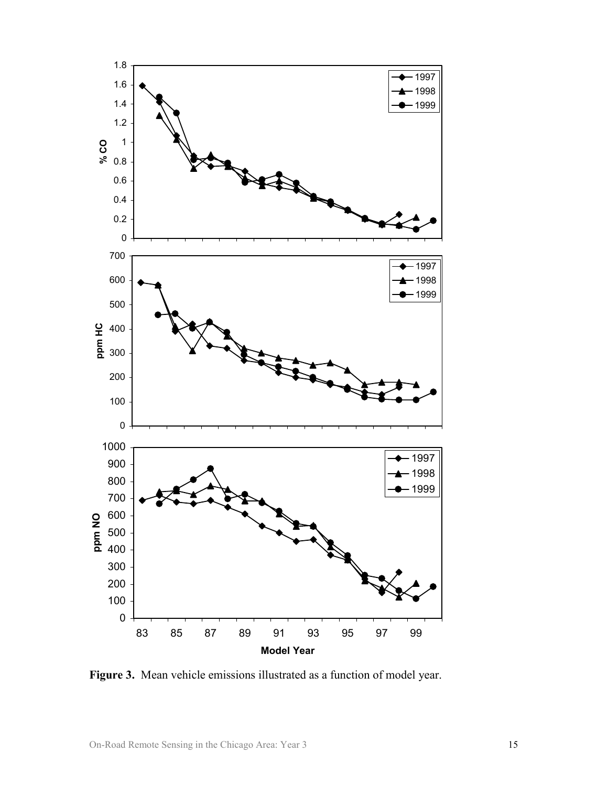

**Figure 3.** Mean vehicle emissions illustrated as a function of model year.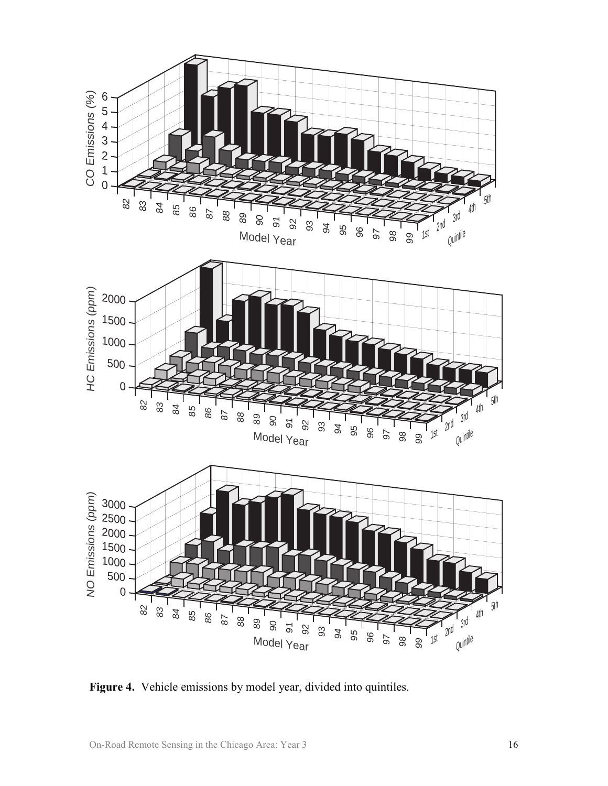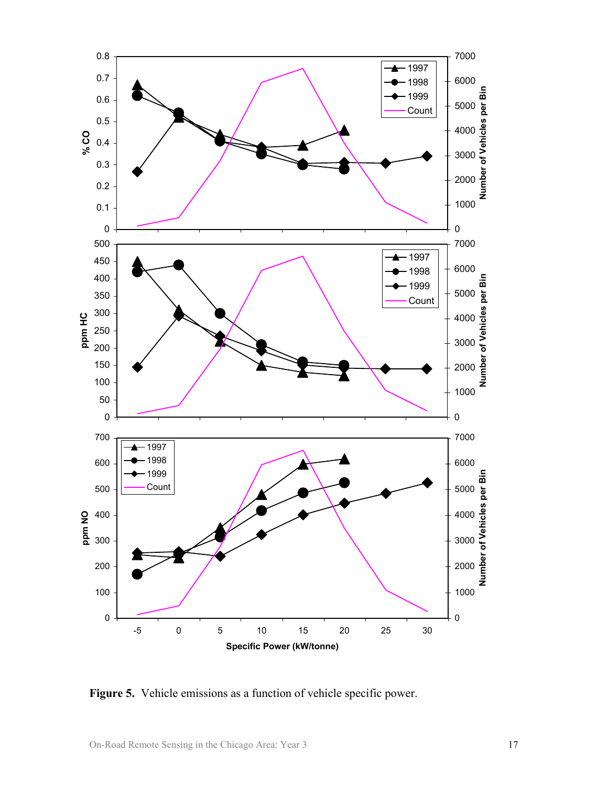

**Figure 5.** Vehicle emissions as a function of vehicle specific power.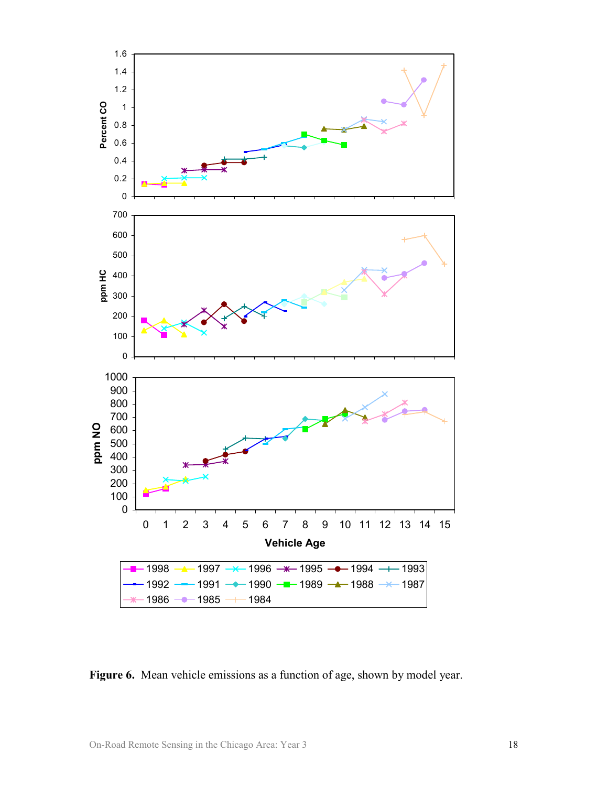

**Figure 6.** Mean vehicle emissions as a function of age, shown by model year.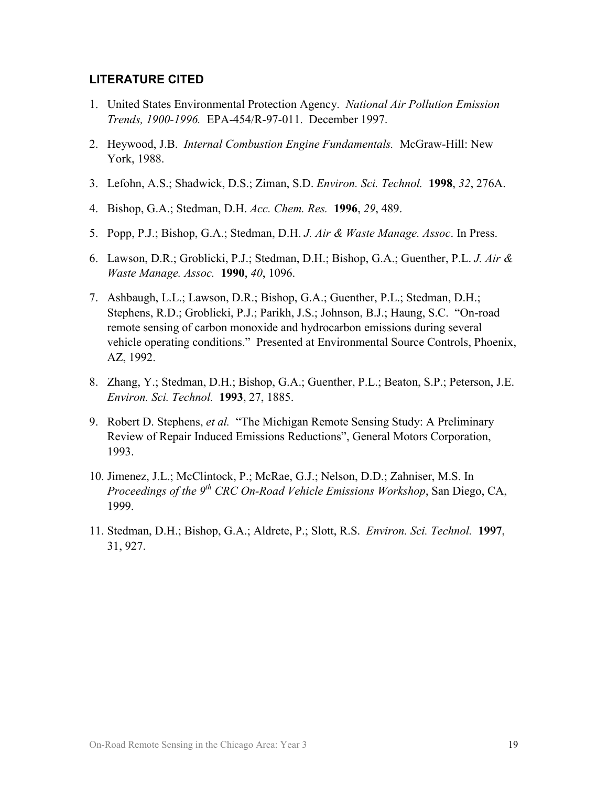#### **LITERATURE CITED**

- 1. United States Environmental Protection Agency. *National Air Pollution Emission Trends, 1900-1996.* EPA-454/R-97-011. December 1997.
- 2. Heywood, J.B. *Internal Combustion Engine Fundamentals.* McGraw-Hill: New York, 1988.
- 3. Lefohn, A.S.; Shadwick, D.S.; Ziman, S.D. *Environ. Sci. Technol.* **1998**, *32*, 276A.
- 4. Bishop, G.A.; Stedman, D.H. *Acc. Chem. Res.* **1996**, *29*, 489.
- 5. Popp, P.J.; Bishop, G.A.; Stedman, D.H. *J. Air & Waste Manage. Assoc*. In Press.
- 6. Lawson, D.R.; Groblicki, P.J.; Stedman, D.H.; Bishop, G.A.; Guenther, P.L. *J. Air & Waste Manage. Assoc.* **1990**, *40*, 1096.
- 7. Ashbaugh, L.L.; Lawson, D.R.; Bishop, G.A.; Guenther, P.L.; Stedman, D.H.; Stephens, R.D.; Groblicki, P.J.; Parikh, J.S.; Johnson, B.J.; Haung, S.C. "On-road remote sensing of carbon monoxide and hydrocarbon emissions during several vehicle operating conditions." Presented at Environmental Source Controls, Phoenix, AZ, 1992.
- 8. Zhang, Y.; Stedman, D.H.; Bishop, G.A.; Guenther, P.L.; Beaton, S.P.; Peterson, J.E. *Environ. Sci. Technol.* **1993**, 27, 1885.
- 9. Robert D. Stephens, *et al.* "The Michigan Remote Sensing Study: A Preliminary Review of Repair Induced Emissions Reductions", General Motors Corporation, 1993.
- 10. Jimenez, J.L.; McClintock, P.; McRae, G.J.; Nelson, D.D.; Zahniser, M.S. In *Proceedings of the 9th CRC On-Road Vehicle Emissions Workshop*, San Diego, CA, 1999.
- 11. Stedman, D.H.; Bishop, G.A.; Aldrete, P.; Slott, R.S. *Environ. Sci. Technol.* **1997**, 31, 927.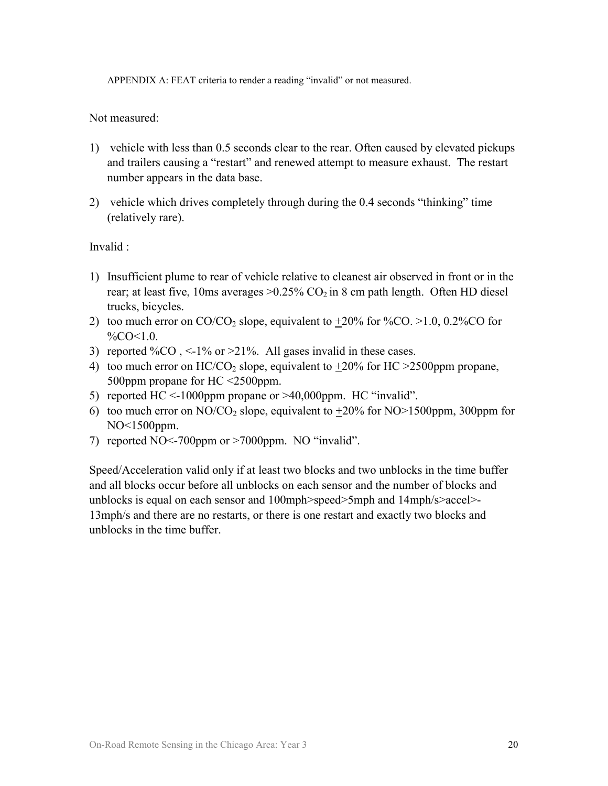APPENDIX A: FEAT criteria to render a reading "invalid" or not measured.

Not measured:

- 1) vehicle with less than 0.5 seconds clear to the rear. Often caused by elevated pickups and trailers causing a "restart" and renewed attempt to measure exhaust. The restart number appears in the data base.
- 2) vehicle which drives completely through during the 0.4 seconds "thinking" time (relatively rare).

Invalid :

- 1) Insufficient plume to rear of vehicle relative to cleanest air observed in front or in the rear; at least five, 10ms averages  $>0.25\%$  CO<sub>2</sub> in 8 cm path length. Often HD diesel trucks, bicycles.
- 2) too much error on  $CO/CO_2$  slope, equivalent to  $+20\%$  for  $\%CO. >1.0$ , 0.2\% $CO$  for  $\%CO < 1.0$ .
- 3) reported  $\%CO$ , <-1% or >21%. All gases invalid in these cases.
- 4) too much error on  $HC/CO<sub>2</sub>$  slope, equivalent to  $+20\%$  for  $HC > 2500$ ppm propane, 500ppm propane for HC <2500ppm.
- 5) reported HC <-1000ppm propane or >40,000ppm. HC "invalid".
- 6) too much error on NO/CO<sub>2</sub> slope, equivalent to  $+20\%$  for NO>1500ppm, 300ppm for NO<1500ppm.
- 7) reported NO<-700ppm or >7000ppm. NO "invalid".

Speed/Acceleration valid only if at least two blocks and two unblocks in the time buffer and all blocks occur before all unblocks on each sensor and the number of blocks and unblocks is equal on each sensor and 100mph>speed>5mph and 14mph/s>accel>- 13mph/s and there are no restarts, or there is one restart and exactly two blocks and unblocks in the time buffer.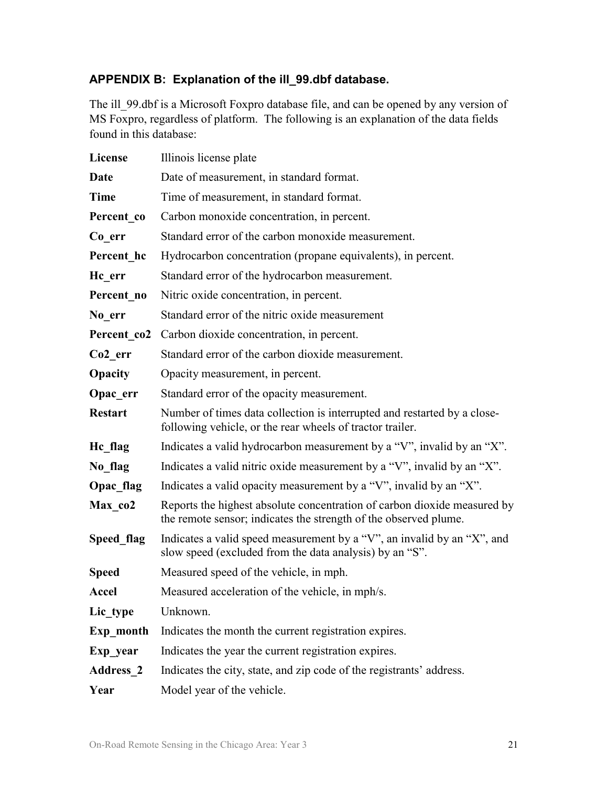### **APPENDIX B: Explanation of the ill\_99.dbf database.**

The ill 99.dbf is a Microsoft Foxpro database file, and can be opened by any version of MS Foxpro, regardless of platform. The following is an explanation of the data fields found in this database:

| <b>License</b>      | Illinois license plate                                                                                                                       |
|---------------------|----------------------------------------------------------------------------------------------------------------------------------------------|
| Date                | Date of measurement, in standard format.                                                                                                     |
| <b>Time</b>         | Time of measurement, in standard format.                                                                                                     |
| Percent co          | Carbon monoxide concentration, in percent.                                                                                                   |
| Co err              | Standard error of the carbon monoxide measurement.                                                                                           |
| Percent hc          | Hydrocarbon concentration (propane equivalents), in percent.                                                                                 |
| Hc err              | Standard error of the hydrocarbon measurement.                                                                                               |
| Percent no          | Nitric oxide concentration, in percent.                                                                                                      |
| No err              | Standard error of the nitric oxide measurement                                                                                               |
| Percent co2         | Carbon dioxide concentration, in percent.                                                                                                    |
| Co <sub>2</sub> err | Standard error of the carbon dioxide measurement.                                                                                            |
| Opacity             | Opacity measurement, in percent.                                                                                                             |
| Opac err            | Standard error of the opacity measurement.                                                                                                   |
| <b>Restart</b>      | Number of times data collection is interrupted and restarted by a close-<br>following vehicle, or the rear wheels of tractor trailer.        |
| He flag             | Indicates a valid hydrocarbon measurement by a "V", invalid by an "X".                                                                       |
| No flag             | Indicates a valid nitric oxide measurement by a "V", invalid by an "X".                                                                      |
| Opac flag           | Indicates a valid opacity measurement by a "V", invalid by an "X".                                                                           |
| Max co2             | Reports the highest absolute concentration of carbon dioxide measured by<br>the remote sensor; indicates the strength of the observed plume. |
| Speed flag          | Indicates a valid speed measurement by a "V", an invalid by an "X", and<br>slow speed (excluded from the data analysis) by an "S".           |
| <b>Speed</b>        | Measured speed of the vehicle, in mph.                                                                                                       |
| <b>Accel</b>        | Measured acceleration of the vehicle, in mph/s.                                                                                              |
| Lic type            | Unknown.                                                                                                                                     |
| Exp month           | Indicates the month the current registration expires.                                                                                        |
| Exp year            | Indicates the year the current registration expires.                                                                                         |
| <b>Address 2</b>    | Indicates the city, state, and zip code of the registrants' address.                                                                         |
| Year                | Model year of the vehicle.                                                                                                                   |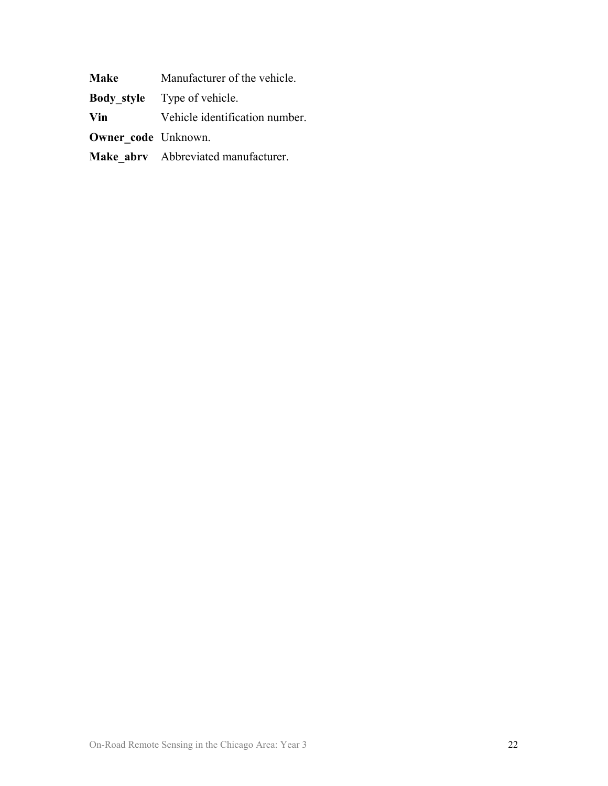| <b>Make</b>                | Manufacturer of the vehicle.        |
|----------------------------|-------------------------------------|
|                            | <b>Body style</b> Type of vehicle.  |
| Vin                        | Vehicle identification number.      |
| <b>Owner code Unknown.</b> |                                     |
|                            | Make abry Abbreviated manufacturer. |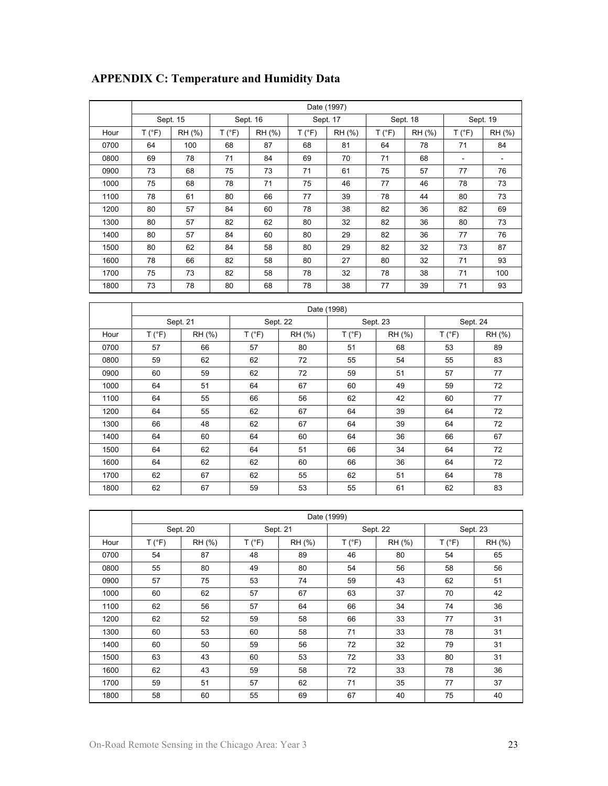|      | Date (1997) |          |        |          |        |          |        |          |        |          |
|------|-------------|----------|--------|----------|--------|----------|--------|----------|--------|----------|
|      |             | Sept. 15 |        | Sept. 16 |        | Sept. 17 |        | Sept. 18 |        | Sept. 19 |
| Hour | T (°F)      | RH (%)   | T (°F) | RH (%)   | T (°F) | RH (%)   | T (°F) | RH (%)   | T (°F) | RH (%)   |
| 0700 | 64          | 100      | 68     | 87       | 68     | 81       | 64     | 78       | 71     | 84       |
| 0800 | 69          | 78       | 71     | 84       | 69     | 70       | 71     | 68       | ٠      |          |
| 0900 | 73          | 68       | 75     | 73       | 71     | 61       | 75     | 57       | 77     | 76       |
| 1000 | 75          | 68       | 78     | 71       | 75     | 46       | 77     | 46       | 78     | 73       |
| 1100 | 78          | 61       | 80     | 66       | 77     | 39       | 78     | 44       | 80     | 73       |
| 1200 | 80          | 57       | 84     | 60       | 78     | 38       | 82     | 36       | 82     | 69       |
| 1300 | 80          | 57       | 82     | 62       | 80     | 32       | 82     | 36       | 80     | 73       |
| 1400 | 80          | 57       | 84     | 60       | 80     | 29       | 82     | 36       | 77     | 76       |
| 1500 | 80          | 62       | 84     | 58       | 80     | 29       | 82     | 32       | 73     | 87       |
| 1600 | 78          | 66       | 82     | 58       | 80     | 27       | 80     | 32       | 71     | 93       |
| 1700 | 75          | 73       | 82     | 58       | 78     | 32       | 78     | 38       | 71     | 100      |
| 1800 | 73          | 78       | 80     | 68       | 78     | 38       | 77     | 39       | 71     | 93       |

## **APPENDIX C: Temperature and Humidity Data**

|      | Date (1998) |        |        |                      |        |        |        |          |
|------|-------------|--------|--------|----------------------|--------|--------|--------|----------|
|      | Sept. 21    |        |        | Sept. 22<br>Sept. 23 |        |        |        | Sept. 24 |
| Hour | T (°F)      | RH (%) | T (°F) | RH (%)               | T (°F) | RH (%) | T (°F) | RH (%)   |
| 0700 | 57          | 66     | 57     | 80                   | 51     | 68     | 53     | 89       |
| 0800 | 59          | 62     | 62     | 72                   | 55     | 54     | 55     | 83       |
| 0900 | 60          | 59     | 62     | 72                   | 59     | 51     | 57     | 77       |
| 1000 | 64          | 51     | 64     | 67                   | 60     | 49     | 59     | 72       |
| 1100 | 64          | 55     | 66     | 56                   | 62     | 42     | 60     | 77       |
| 1200 | 64          | 55     | 62     | 67                   | 64     | 39     | 64     | 72       |
| 1300 | 66          | 48     | 62     | 67                   | 64     | 39     | 64     | 72       |
| 1400 | 64          | 60     | 64     | 60                   | 64     | 36     | 66     | 67       |
| 1500 | 64          | 62     | 64     | 51                   | 66     | 34     | 64     | 72       |
| 1600 | 64          | 62     | 62     | 60                   | 66     | 36     | 64     | 72       |
| 1700 | 62          | 67     | 62     | 55                   | 62     | 51     | 64     | 78       |
| 1800 | 62          | 67     | 59     | 53                   | 55     | 61     | 62     | 83       |

|      | Date (1999)    |          |        |          |        |          |        |          |  |
|------|----------------|----------|--------|----------|--------|----------|--------|----------|--|
|      |                | Sept. 20 |        | Sept. 21 |        | Sept. 22 |        | Sept. 23 |  |
| Hour | $T(^{\circ}F)$ | RH (%)   | T (°F) | RH (%)   | T (°F) | RH (%)   | T (°F) | RH (%)   |  |
| 0700 | 54             | 87       | 48     | 89       | 46     | 80       | 54     | 65       |  |
| 0800 | 55             | 80       | 49     | 80       | 54     | 56       | 58     | 56       |  |
| 0900 | 57             | 75       | 53     | 74       | 59     | 43       | 62     | 51       |  |
| 1000 | 60             | 62       | 57     | 67       | 63     | 37       | 70     | 42       |  |
| 1100 | 62             | 56       | 57     | 64       | 66     | 34       | 74     | 36       |  |
| 1200 | 62             | 52       | 59     | 58       | 66     | 33       | 77     | 31       |  |
| 1300 | 60             | 53       | 60     | 58       | 71     | 33       | 78     | 31       |  |
| 1400 | 60             | 50       | 59     | 56       | 72     | 32       | 79     | 31       |  |
| 1500 | 63             | 43       | 60     | 53       | 72     | 33       | 80     | 31       |  |
| 1600 | 62             | 43       | 59     | 58       | 72     | 33       | 78     | 36       |  |
| 1700 | 59             | 51       | 57     | 62       | 71     | 35       | 77     | 37       |  |
| 1800 | 58             | 60       | 55     | 69       | 67     | 40       | 75     | 40       |  |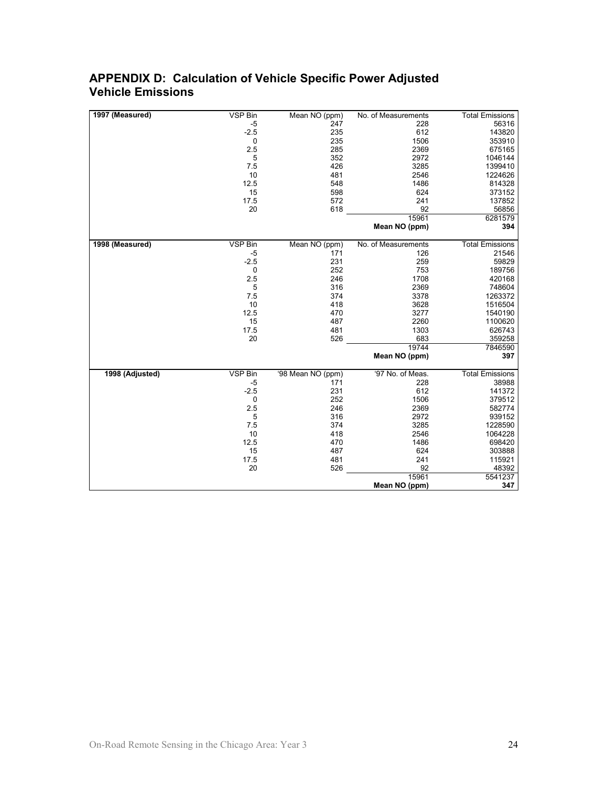#### **APPENDIX D: Calculation of Vehicle Specific Power Adjusted Vehicle Emissions**

| 1997 (Measured) | VSP Bin | Mean NO (ppm)     | No. of Measurements | <b>Total Emissions</b> |
|-----------------|---------|-------------------|---------------------|------------------------|
|                 | $-5$    | 247               | 228                 | 56316                  |
|                 | $-2.5$  | 235               | 612                 | 143820                 |
|                 | 0       | 235               | 1506                | 353910                 |
|                 | 2.5     | 285               | 2369                | 675165                 |
|                 | 5       | 352               | 2972                | 1046144                |
|                 | 7.5     | 426               | 3285                | 1399410                |
|                 | 10      | 481               | 2546                | 1224626                |
|                 | 12.5    | 548               | 1486                | 814328                 |
|                 | 15      | 598               | 624                 | 373152                 |
|                 | 17.5    | 572               | 241                 | 137852                 |
|                 | 20      | 618               | 92                  | 56856                  |
|                 |         |                   | 15961               | 6281579                |
|                 |         |                   | Mean NO (ppm)       | 394                    |
| 1998 (Measured) | VSP Bin | Mean NO (ppm)     | No. of Measurements | <b>Total Emissions</b> |
|                 | -5      | 171               | 126                 | 21546                  |
|                 | $-2.5$  | 231               | 259                 | 59829                  |
|                 | 0       | 252               | 753                 | 189756                 |
|                 | 2.5     | 246               | 1708                | 420168                 |
|                 | 5       | 316               | 2369                | 748604                 |
|                 | 7.5     | 374               | 3378                | 1263372                |
|                 | 10      | 418               | 3628                | 1516504                |
|                 | 12.5    | 470               | 3277                | 1540190                |
|                 | 15      | 487               | 2260                | 1100620                |
|                 | 17.5    | 481               | 1303                | 626743                 |
|                 | 20      | 526               | 683                 | 359258                 |
|                 |         |                   | 19744               | 7846590                |
|                 |         |                   | Mean NO (ppm)       | 397                    |
| 1998 (Adjusted) | VSP Bin | '98 Mean NO (ppm) | '97 No. of Meas.    | <b>Total Emissions</b> |
|                 | $-5$    | 171               | 228                 | 38988                  |
|                 | $-2.5$  | 231               | 612                 | 141372                 |
|                 | 0       | 252               | 1506                | 379512                 |
|                 | 2.5     | 246               | 2369                | 582774                 |
|                 | 5       | 316               | 2972                | 939152                 |
|                 | 7.5     | 374               | 3285                | 1228590                |
|                 | 10      | 418               | 2546                | 1064228                |
|                 | 12.5    | 470               | 1486                | 698420                 |
|                 | 15      | 487               | 624                 | 303888                 |
|                 | 17.5    | 481               | 241                 | 115921                 |
|                 | 20      | 526               | 92                  | 48392                  |
|                 |         |                   | 15961               | 5541237                |
|                 |         |                   | Mean NO (ppm)       | 347                    |